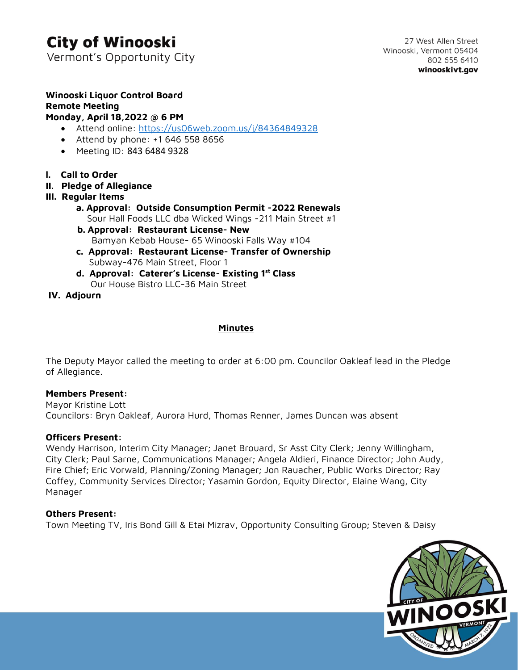# **City of Winooski**

Vermont's Opportunity City

# **Winooski Liquor Control Board Remote Meeting**

### **Monday, April 18,2022 @ 6 PM**

- Attend online: <https://us06web.zoom.us/j/84364849328>
- Attend by phone: +1 646 558 8656
- Meeting ID: 843 6484 9328
- **l. Call to Order**
- **II. Pledge of Allegiance**
- **III. Regular Items**
	- **a. Approval: Outside Consumption Permit -2022 Renewals** Sour Hall Foods LLC dba Wicked Wings -211 Main Street #1
	- **b. Approval: Restaurant License- New** Bamyan Kebab House- 65 Winooski Falls Way #104
	- **c. Approval: Restaurant License- Transfer of Ownership** Subway-476 Main Street, Floor 1
	- **d. Approval: Caterer's License- Existing 1st Class** Our House Bistro LLC-36 Main Street

 **IV. Adjourn**

## **Minutes**

The Deputy Mayor called the meeting to order at 6:00 pm. Councilor Oakleaf lead in the Pledge of Allegiance.

### **Members Present:**

Mayor Kristine Lott Councilors: Bryn Oakleaf, Aurora Hurd, Thomas Renner, James Duncan was absent

### **Officers Present:**

Wendy Harrison, Interim City Manager; Janet Brouard, Sr Asst City Clerk; Jenny Willingham, City Clerk; Paul Sarne, Communications Manager; Angela Aldieri, Finance Director; John Audy, Fire Chief; Eric Vorwald, Planning/Zoning Manager; Jon Rauacher, Public Works Director; Ray Coffey, Community Services Director; Yasamin Gordon, Equity Director, Elaine Wang, City Manager

## **Others Present:**

Town Meeting TV, Iris Bond Gill & Etai Mizrav, Opportunity Consulting Group; Steven & Daisy

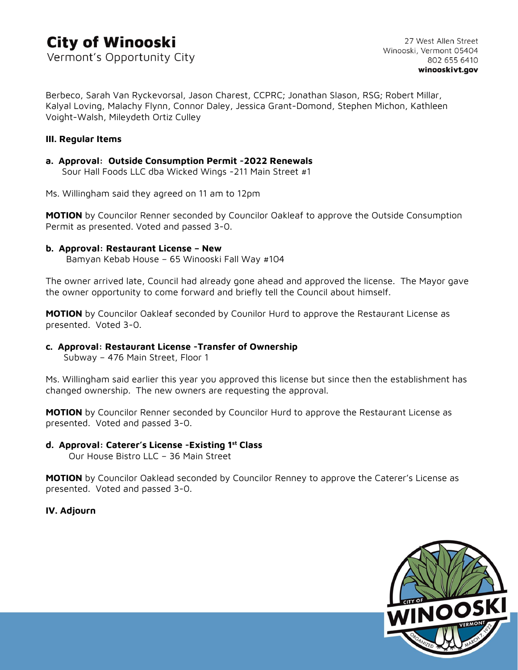# **City of Winooski** Vermont's Opportunity City

Berbeco, Sarah Van Ryckevorsal, Jason Charest, CCPRC; Jonathan Slason, RSG; Robert Millar, Kalyal Loving, Malachy Flynn, Connor Daley, Jessica Grant-Domond, Stephen Michon, Kathleen Voight-Walsh, Mileydeth Ortiz Culley

### **III. Regular Items**

#### **a. Approval: Outside Consumption Permit -2022 Renewals** Sour Hall Foods LLC dba Wicked Wings -211 Main Street #1

Ms. Willingham said they agreed on 11 am to 12pm

**MOTION** by Councilor Renner seconded by Councilor Oakleaf to approve the Outside Consumption Permit as presented. Voted and passed 3-0.

### **b. Approval: Restaurant License – New**

Bamyan Kebab House – 65 Winooski Fall Way #104

The owner arrived late, Council had already gone ahead and approved the license. The Mayor gave the owner opportunity to come forward and briefly tell the Council about himself.

**MOTION** by Councilor Oakleaf seconded by Counilor Hurd to approve the Restaurant License as presented. Voted 3-0.

### **c. Approval: Restaurant License -Transfer of Ownership**

Subway – 476 Main Street, Floor 1

Ms. Willingham said earlier this year you approved this license but since then the establishment has changed ownership. The new owners are requesting the approval.

**MOTION** by Councilor Renner seconded by Councilor Hurd to approve the Restaurant License as presented. Voted and passed 3-0.

### **d. Approval: Caterer's License -Existing 1st Class**

Our House Bistro LLC – 36 Main Street

**MOTION** by Councilor Oaklead seconded by Councilor Renney to approve the Caterer's License as presented. Voted and passed 3-0.

**IV. Adjourn**